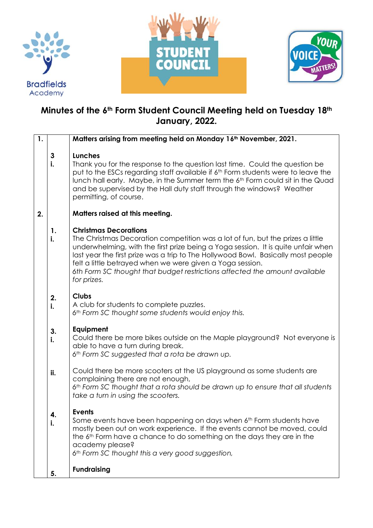





## **Minutes of the 6th Form Student Council Meeting held on Tuesday 18th January, 2022.**

| 1. |                    | Matters arising from meeting held on Monday 16 <sup>th</sup> November, 2021.                                                                                                                                                                                                                                                                                                                                                                       |
|----|--------------------|----------------------------------------------------------------------------------------------------------------------------------------------------------------------------------------------------------------------------------------------------------------------------------------------------------------------------------------------------------------------------------------------------------------------------------------------------|
|    | $\mathbf{3}$<br>i. | <b>Lunches</b><br>Thank you for the response to the question last time. Could the question be<br>put to the ESCs regarding staff available if 6 <sup>th</sup> Form students were to leave the<br>lunch hall early. Maybe, in the Summer term the 6 <sup>th</sup> Form could sit in the Quad<br>and be supervised by the Hall duty staff through the windows? Weather<br>permitting, of course.                                                     |
| 2. |                    | Matters raised at this meeting.                                                                                                                                                                                                                                                                                                                                                                                                                    |
|    | 1.<br>i.           | <b>Christmas Decorations</b><br>The Christmas Decoration competition was a lot of fun, but the prizes a little<br>underwhelming, with the first prize being a Yoga session. It is quite unfair when<br>last year the first prize was a trip to The Hollywood Bowl. Basically most people<br>felt a little betrayed when we were given a Yoga session.<br>6th Form SC thought that budget restrictions affected the amount available<br>for prizes. |
|    | 2.<br>i.           | <b>Clubs</b><br>A club for students to complete puzzles.<br>6th Form SC thought some students would enjoy this.                                                                                                                                                                                                                                                                                                                                    |
|    | 3.<br>i.           | Equipment<br>Could there be more bikes outside on the Maple playground? Not everyone is<br>able to have a turn during break.<br>6th Form SC suggested that a rota be drawn up.                                                                                                                                                                                                                                                                     |
|    | ii.                | Could there be more scooters at the US playground as some students are<br>complaining there are not enough,<br>6th Form SC thought that a rota should be drawn up to ensure that all students<br>take a turn in using the scooters.                                                                                                                                                                                                                |
|    | i.                 | <b>Events</b><br>Some events have been happening on days when 6th Form students have<br>mostly been out on work experience. If the events cannot be moved, could<br>the 6 <sup>th</sup> Form have a chance to do something on the days they are in the<br>academy please?<br>6th Form SC thought this a very good suggestion,                                                                                                                      |
|    | 5.                 | <b>Fundraising</b>                                                                                                                                                                                                                                                                                                                                                                                                                                 |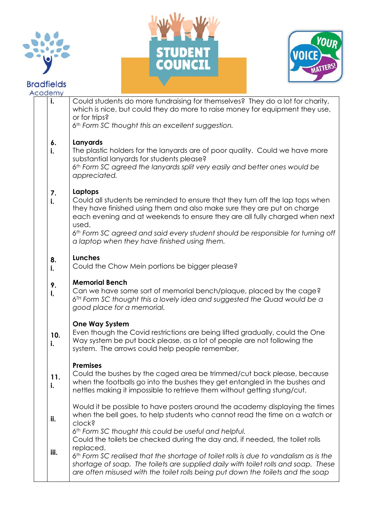

## **Bradfields**





| Academy   |                                                                                                                                                                                                                                                                                                                                                                                                |
|-----------|------------------------------------------------------------------------------------------------------------------------------------------------------------------------------------------------------------------------------------------------------------------------------------------------------------------------------------------------------------------------------------------------|
| i.        | Could students do more fundraising for themselves? They do a lot for charity,<br>which is nice, but could they do more to raise money for equipment they use,<br>or for trips?<br>6th Form SC thought this an excellent suggestion.                                                                                                                                                            |
| 6.<br>i.  | Lanyards<br>The plastic holders for the lanyards are of poor quality. Could we have more<br>substantial lanyards for students please?<br>6th Form SC agreed the lanyards split very easily and better ones would be<br>appreciated.                                                                                                                                                            |
| 7.<br>i.  | Laptops<br>Could all students be reminded to ensure that they turn off the lap tops when<br>they have finished using them and also make sure they are put on charge<br>each evening and at weekends to ensure they are all fully charged when next<br>used.<br>6th Form SC agreed and said every student should be responsible for turning off<br>a laptop when they have finished using them. |
| 8.<br>i.  | <b>Lunches</b><br>Could the Chow Mein portions be bigger please?                                                                                                                                                                                                                                                                                                                               |
| 9.<br>I,  | <b>Memorial Bench</b><br>Can we have some sort of memorial bench/plaque, placed by the cage?<br>6 <sup>TH</sup> Form SC thought this a lovely idea and suggested the Quad would be a<br>good place for a memorial.                                                                                                                                                                             |
| 10.<br>i. | <b>One Way System</b><br>Even though the Covid restrictions are being lifted gradually, could the One<br>Way system be put back please, as a lot of people are not following the<br>system. The arrows could help people remember,                                                                                                                                                             |
| 11.<br>i. | <b>Premises</b><br>Could the bushes by the caged area be trimmed/cut back please, because<br>when the footballs go into the bushes they get entangled in the bushes and<br>nettles making it impossible to retrieve them without getting stung/cut.                                                                                                                                            |
| ii.       | Would it be possible to have posters around the academy displaying the times<br>when the bell goes, to help students who cannot read the time on a watch or<br>clock?<br>6th Form SC thought this could be useful and helpful.                                                                                                                                                                 |
| iii.      | Could the toilets be checked during the day and, if needed, the toilet rolls<br>replaced.<br>6th Form SC realised that the shortage of toilet rolls is due to vandalism as is the<br>shortage of soap. The toilets are supplied daily with toilet rolls and soap. These<br>are often misused with the toilet rolls being put down the toilets and the soap                                     |